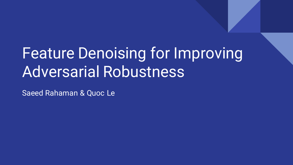# Feature Denoising for Improving Adversarial Robustness

Saeed Rahaman & Quoc Le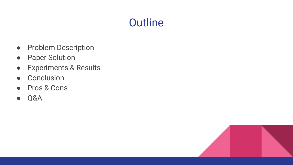# **Outline**

- Problem Description
- Paper Solution
- Experiments & Results
- Conclusion
- Pros & Cons
- Q&A

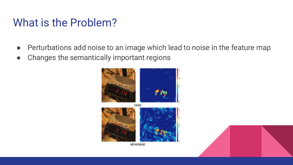# What is the Problem?

- Perturbations add noise to an image which lead to noise in the feature map
- Changes the semantically important regions





adversarial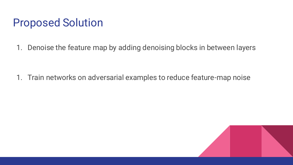### Proposed Solution

1. Denoise the feature map by adding denoising blocks in between layers

1. Train networks on adversarial examples to reduce feature-map noise

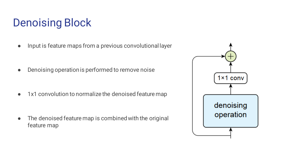# Denoising Block

● Input is feature maps from a previous convolutional layer

● Denoising operation is performed to remove noise

● 1x1 convolution to normalize the denoised feature map

● The denoised feature map is combined with the original feature map

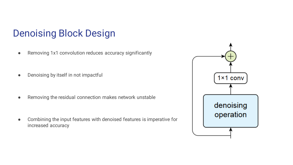#### Denoising Block Design

- Removing 1x1 convolution reduces accuracy significantly
- Denoising by itself in not impactful

Removing the residual connection makes network unstable

Combining the input features with denoised features is imperative for increased accuracy

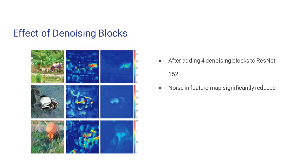#### Effect of Denoising Blocks



- After adding 4 denoising blocks to ResNet-152
- Noise in feature map significantly reduced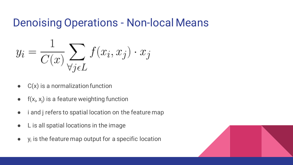### Denoising Operations - Non-local Means

$$
y_i = \frac{1}{C(x)} \sum_{\forall j \in L} f(x_i, x_j) \cdot x_j
$$

- $\bullet$   $C(x)$  is a normalization function
- $f(x_i, x_j)$  is a feature weighting function
- i and j refers to spatial location on the feature map
- L is all spatial locations in the image
- $\bullet$  y<sub>i</sub> is the feature map output for a specific location

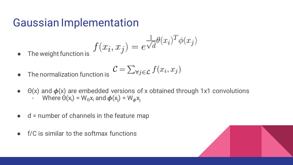### Gaussian Implementation

$$
f(x_i, x_j) = e^{\frac{1}{\sqrt{d}}\theta(x_i)^T \phi(x_j)}
$$

• The weight function is

$$
\mathcal{C} = \sum_{\forall j \in \mathcal{L}} f(x_i, x_j)
$$

- $\bullet$  The normalization function
- $\bullet$   $\Theta(x)$  and  $\phi(x)$  are embedded versions of x obtained through 1x1 convolutions
	- Where  $\Theta(\mathsf{x_i}) = \mathsf{W}_\Theta \mathsf{x_i}$  and  $\boldsymbol{\phi}(\mathsf{x_j}) = \mathsf{W}_{\boldsymbol{\phi}} \mathsf{x_j}$
- $\bullet$  d = number of channels in the feature map
- $\bullet$  f/C is similar to the softmax functions

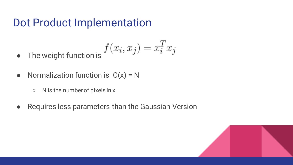### Dot Product Implementation

• The weight function is 
$$
f(x_i, x_j) = x_i^T x_j
$$

- Normalization function is  $C(x) = N$ 
	- $\circ$  N is the number of pixels in x
- Requires less parameters than the Gaussian Version

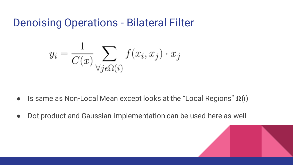Denoising Operations - Bilateral Filter

$$
y_i = \frac{1}{C(x)} \sum_{\forall j \in \Omega(i)} f(x_i, x_j) \cdot x_j
$$

- Is same as Non-Local Mean except looks at the "Local Regions"  $\Omega(i)$
- Dot product and Gaussian implementation can be used here as well

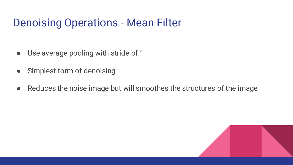# Denoising Operations - Mean Filter

- Use average pooling with stride of 1
- Simplest form of denoising
- Reduces the noise image but will smoothes the structures of the image

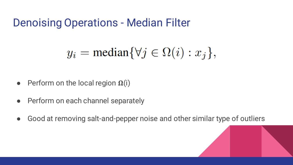### Denoising Operations - Median Filter

$$
y_i = \text{median}\{\forall j \in \Omega(i) : x_j\},
$$

- Perform on the local region  $\Omega(i)$
- Perform on each channel separately
- Good at removing salt-and-pepper noise and other similar type of outliers

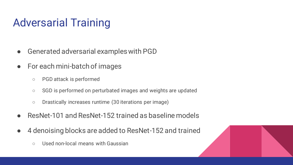# Adversarial Training

- Generated adversarial examples with PGD
- For each mini-batch of images
	- PGD attack is performed
	- SGD is performed on perturbated images and weights are updated
	- Drastically increases runtime (30 iterations per image)
- ResNet-101 and ResNet-152 trained as baseline models
- 4 denoising blocks are added to ResNet-152 and trained
	- Used non-local means with Gaussian

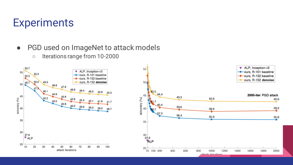### **Experiments**

- PGD used on ImageNet to attack models
	- Iterations range from 10-2000

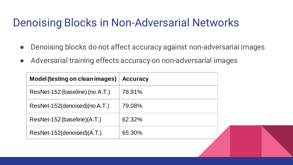# Denoising Blocks in Non-Adversarial Networks

- Denoising blocks do not affect accuracy against non-adversarial images
- Adversarial training effects accuracy on non-adversarial images

| <b>Model (testing on clean images)</b> | <b>Accuracy</b> |
|----------------------------------------|-----------------|
| ResNet-152 (baseline) (no A.T.)        | 78.91%          |
| ResNet-152(denoised)(no A.T.)          | 79.08%          |
| ResNet-152 (baseline) (A.T.)           | 62.32%          |
| ResNet-152(denoised)(A.T.)             | 65.30%          |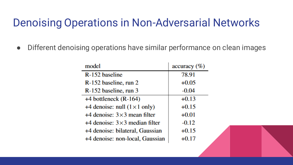# Denoising Operations in Non-Adversarial Networks

● Different denoising operations have similar performance on clean images

| model                                | accuracy (%) |  |
|--------------------------------------|--------------|--|
| R-152 baseline                       | 78.91        |  |
| R-152 baseline, run 2                | $+0.05$      |  |
| R-152 baseline, run 3                | $-0.04$      |  |
| $+4$ bottleneck (R-164)              | $+0.13$      |  |
| +4 denoise: null $(1 \times 1$ only) | $+0.15$      |  |
| $+4$ denoise: $3\times3$ mean filter | $+0.01$      |  |
| +4 denoise: $3\times3$ median filter | $-0.12$      |  |
| +4 denoise: bilateral, Gaussian      | $+0.15$      |  |
| +4 denoise: non-local, Gaussian      | $+0.17$      |  |
|                                      |              |  |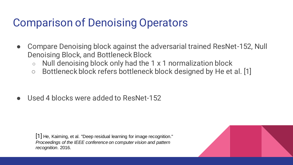# Comparison of Denoising Operators

- Compare Denoising block against the adversarial trained ResNet-152, Null Denoising Block, and Bottleneck Block
	- $\circ$  Null denoising block only had the 1 x 1 normalization block
	- Bottleneck block refers bottleneck block designed by He et al. [1]

Used 4 blocks were added to ResNet-152

[1] He, Kaiming, et al. "Deep residual learning for image recognition." *Proceedings of the IEEE conference on computer vision and pattern recognition*. 2016.

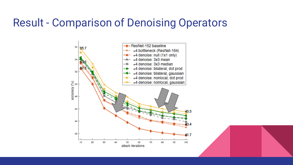### Result - Comparison of Denoising Operators



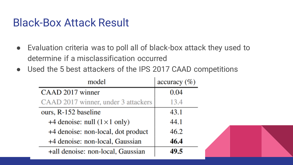### Black-Box Attack Result

- Evaluation criteria was to poll all of black-box attack they used to determine if a misclassification occurred
- Used the 5 best attackers of the IPS 2017 CAAD competitions

| model                                | $accuracy (\%)$ |
|--------------------------------------|-----------------|
| CAAD 2017 winner                     | 0.04            |
| CAAD 2017 winner, under 3 attackers  | 13.4            |
| ours, R-152 baseline                 | 43.1            |
| +4 denoise: null $(1 \times 1$ only) | 44.1            |
| +4 denoise: non-local, dot product   | 46.2            |
| +4 denoise: non-local, Gaussian      | 46.4            |
| +all denoise: non-local, Gaussian    | 49.5            |

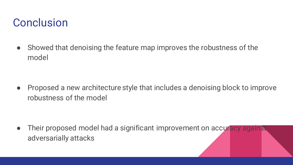# **Conclusion**

● Showed that denoising the feature map improves the robustness of the model

● Proposed a new architecture style that includes a denoising block to improve robustness of the model

• Their proposed model had a significant improvement on accuracy against adversarially attacks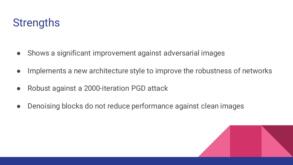# **Strengths**

- Shows a significant improvement against adversarial images
- Implements a new architecture style to improve the robustness of networks
- Robust against a 2000-iteration PGD attack
- Denoising blocks do not reduce performance against clean images

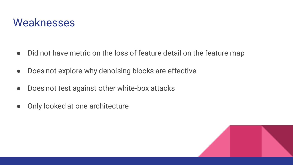### Weaknesses

- Did not have metric on the loss of feature detail on the feature map
- Does not explore why denoising blocks are effective
- Does not test against other white-box attacks
- Only looked at one architecture